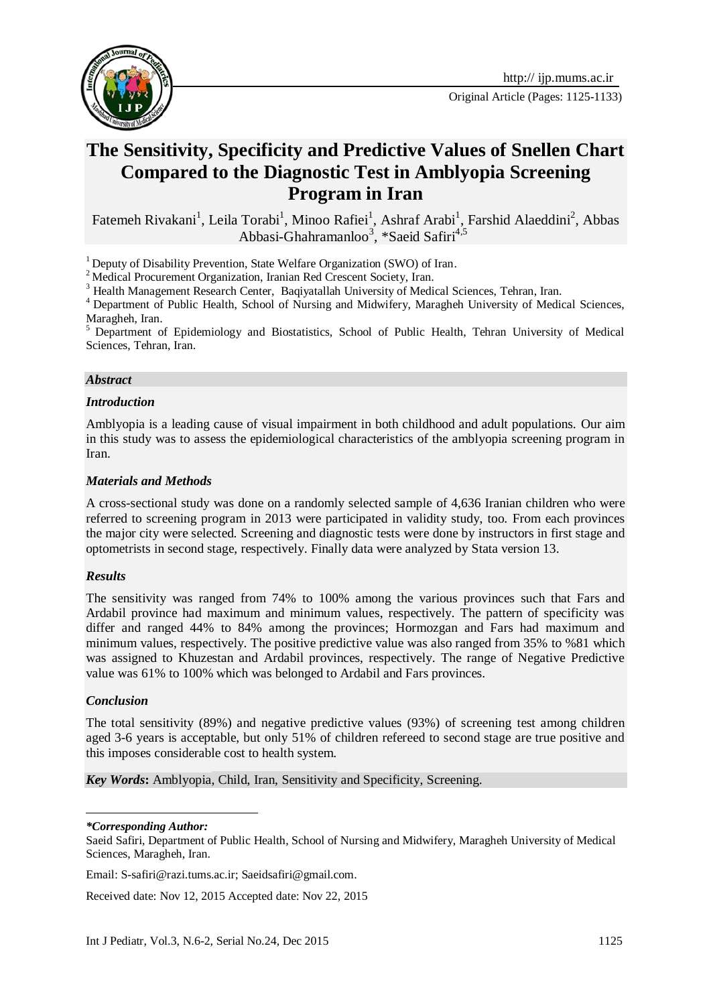

# **The Sensitivity, Specificity and Predictive Values of Snellen Chart Compared to the Diagnostic Test in Amblyopia Screening Program in Iran**

Fatemeh Rivakani<sup>1</sup>, Leila Torabi<sup>1</sup>, Minoo Rafiei<sup>1</sup>, Ashraf Arabi<sup>1</sup>, Farshid Alaeddini<sup>2</sup>, Abbas Abbasi-Ghahramanloo<sup>3</sup>, \*Saeid Safiri<sup>4,5</sup>

 $1$  Deputy of Disability Prevention, State Welfare Organization (SWO) of Iran.

<sup>2</sup> Medical Procurement Organization, Iranian Red Crescent Society, Iran.

<sup>3</sup> Health Management Research Center, Baqiyatallah University of Medical Sciences, Tehran, Iran.

<sup>4</sup> Department of Public Health, School of Nursing and Midwifery, Maragheh University of Medical Sciences, Maragheh, Iran.

<sup>5</sup> Department of Epidemiology and Biostatistics, School of Public Health, Tehran University of Medical Sciences, Tehran, Iran.

#### *Abstract*

#### *Introduction*

Amblyopia is a leading cause of visual impairment in both childhood and adult populations. Our aim in this study was to assess the epidemiological characteristics of the amblyopia screening program in Iran.

#### *Materials and Methods*

A cross-sectional study was done on a randomly selected sample of 4,636 Iranian children who were referred to screening program in 2013 were participated in validity study, too. From each provinces the major city were selected. Screening and diagnostic tests were done by instructors in first stage and optometrists in second stage, respectively. Finally data were analyzed by Stata version 13.

#### *Results*

The sensitivity was ranged from 74% to 100% among the various provinces such that Fars and Ardabil province had maximum and minimum values, respectively. The pattern of specificity was differ and ranged 44% to 84% among the provinces; Hormozgan and Fars had maximum and minimum values, respectively. The positive predictive value was also ranged from 35% to %81 which was assigned to Khuzestan and Ardabil provinces, respectively. The range of Negative Predictive value was 61% to 100% which was belonged to Ardabil and Fars provinces.

#### *Conclusion*

The total sensitivity (89%) and negative predictive values (93%) of screening test among children aged 3-6 years is acceptable, but only 51% of children refereed to second stage are true positive and this imposes considerable cost to health system.

*Key Words***:** Amblyopia, Child, Iran, Sensitivity and Specificity, Screening.

1 *\*Corresponding Author:* 

Saeid Safiri, Department of Public Health, School of Nursing and Midwifery, Maragheh University of Medical Sciences, Maragheh, Iran.

Email: [S-safiri@razi.tums.ac.ir;](mailto:S-safiri@razi.tums.ac.ir) [Saeidsafiri@gmail.com.](mailto:Saeidsafiri@gmail.com)

Received date: Nov 12, 2015 Accepted date: Nov 22, 2015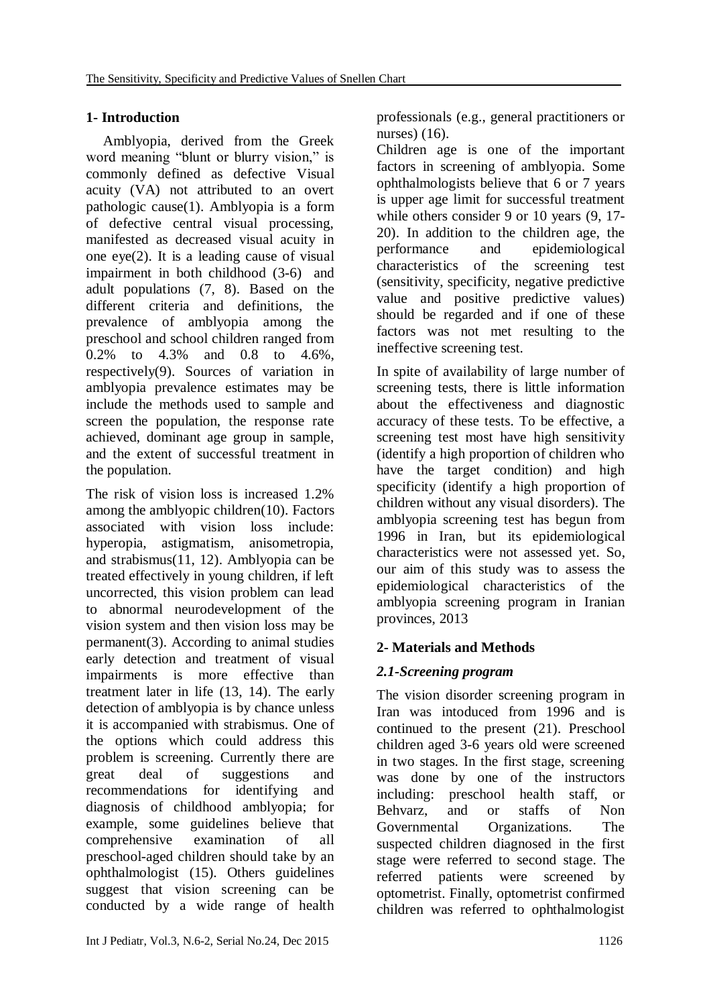# **1- Introduction**

Amblyopia, derived from the Greek word meaning "blunt or blurry vision," is commonly defined as defective Visual acuity (VA) not attributed to an overt pathologic cause(1). Amblyopia is a form of defective central visual processing, manifested as decreased visual acuity in one eye(2). It is a leading cause of visual impairment in both childhood (3-6) and adult populations (7, 8). Based on the different criteria and definitions, the prevalence of amblyopia among the preschool and school children ranged from 0.2% to 4.3% and 0.8 to 4.6%, respectively(9). Sources of variation in amblyopia prevalence estimates may be include the methods used to sample and screen the population, the response rate achieved, dominant age group in sample, and the extent of successful treatment in the population.

The risk of vision loss is increased 1.2% among the amblyopic children(10). Factors associated with vision loss include: hyperopia, astigmatism, anisometropia, and strabismus(11, 12). Amblyopia can be treated effectively in young children, if left uncorrected, this vision problem can lead to abnormal neurodevelopment of the vision system and then vision loss may be  $permannent(3)$ . According to animal studies early detection and treatment of visual impairments is more effective than treatment later in life (13, 14). The early detection of amblyopia is by chance unless it is accompanied with strabismus. One of the options which could address this problem is screening. Currently there are great deal of suggestions and recommendations for identifying and diagnosis of childhood amblyopia; for example, some guidelines believe that comprehensive examination of all preschool-aged children should take by an ophthalmologist (15). Others guidelines suggest that vision screening can be conducted by a wide range of health professionals (e.g., general practitioners or nurses) (16).

Children age is one of the important factors in screening of amblyopia. Some ophthalmologists believe that 6 or 7 years is upper age limit for successful treatment while others consider 9 or 10 years (9, 17-20). In addition to the children age, the performance and epidemiological characteristics of the screening test (sensitivity, specificity, negative predictive value and positive predictive values) should be regarded and if one of these factors was not met resulting to the ineffective screening test.

In spite of availability of large number of screening tests, there is little information about the effectiveness and diagnostic accuracy of these tests. To be effective, a screening test most have high sensitivity (identify a high proportion of children who have the target condition) and high specificity (identify a high proportion of children without any visual disorders). The amblyopia screening test has begun from 1996 in Iran, but its epidemiological characteristics were not assessed yet. So, our aim of this study was to assess the epidemiological characteristics of the amblyopia screening program in Iranian provinces, 2013

# **2- Materials and Methods**

# *2.1-Screening program*

The vision disorder screening program in Iran was intoduced from 1996 and is continued to the present (21). Preschool children aged 3-6 years old were screened in two stages. In the first stage, screening was done by one of the instructors including: preschool health staff, or Behvarz, and or staffs of Non Governmental Organizations. The suspected children diagnosed in the first stage were referred to second stage. The referred patients were screened by optometrist. Finally, optometrist confirmed children was referred to ophthalmologist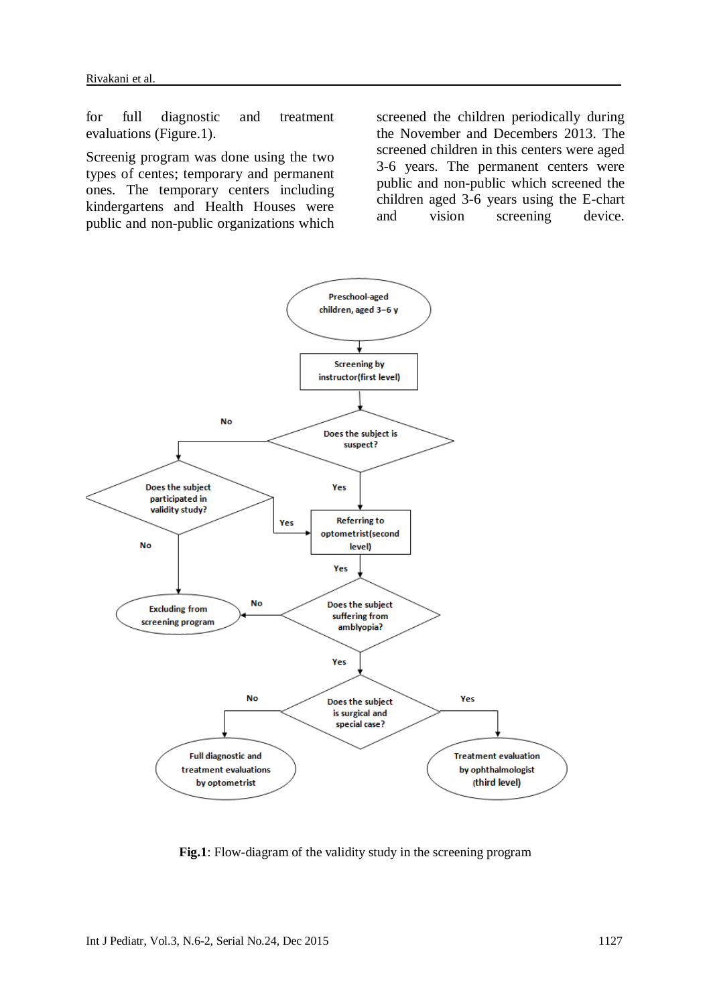for full diagnostic and treatment evaluations (Figure.1).

Screenig program was done using the two types of centes; temporary and permanent ones. The temporary centers including kindergartens and Health Houses were public and non-public organizations which screened the children periodically during the November and Decembers 2013. The screened children in this centers were aged 3-6 years. The permanent centers were public and non-public which screened the children aged 3-6 years using the E-chart and vision screening device.



**Fig.1**: Flow-diagram of the validity study in the screening program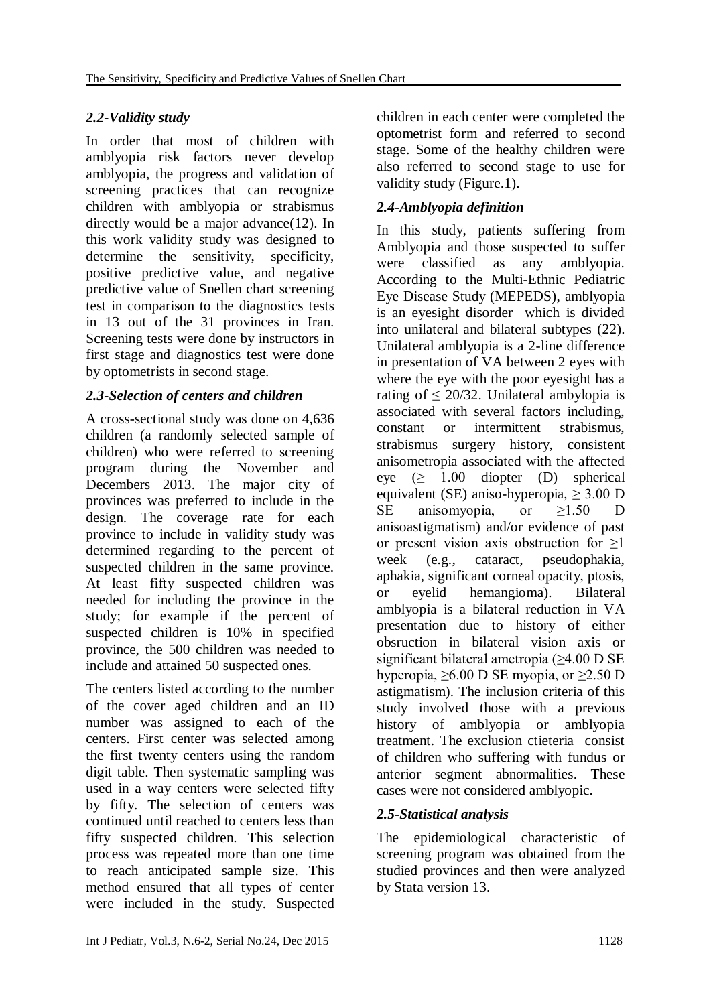# *2.2-Validity study*

In order that most of children with amblyopia risk factors never develop amblyopia, the progress and validation of screening practices that can recognize children with amblyopia or strabismus directly would be a major advance(12). In this work validity study was designed to determine the sensitivity, specificity, positive predictive value, and negative predictive value of Snellen chart screening test in comparison to the diagnostics tests in 13 out of the 31 provinces in Iran. Screening tests were done by instructors in first stage and diagnostics test were done by optometrists in second stage.

# *2.3-Selection of centers and children*

A cross-sectional study was done on 4,636 children (a randomly selected sample of children) who were referred to screening program during the November and Decembers 2013. The major city of provinces was preferred to include in the design. The coverage rate for each province to include in validity study was determined regarding to the percent of suspected children in the same province. At least fifty suspected children was needed for including the province in the study; for example if the percent of suspected children is 10% in specified province, the 500 children was needed to include and attained 50 suspected ones.

The centers listed according to the number of the cover aged children and an ID number was assigned to each of the centers. First center was selected among the first twenty centers using the random digit table. Then systematic sampling was used in a way centers were selected fifty by fifty. The selection of centers was continued until reached to centers less than fifty suspected children. This selection process was repeated more than one time to reach anticipated sample size. This method ensured that all types of center were included in the study. Suspected

children in each center were completed the optometrist form and referred to second stage. Some of the healthy children were also referred to second stage to use for validity study (Figure.1).

# *2.4-Amblyopia definition*

In this study, patients suffering from Amblyopia and those suspected to suffer were classified as any amblyopia. According to the Multi-Ethnic Pediatric Eye Disease Study (MEPEDS), amblyopia is an eyesight disorder which is divided into unilateral and bilateral subtypes (22). Unilateral amblyopia is a 2-line difference in presentation of VA between 2 eyes with where the eye with the poor eyesight has a rating of  $\leq$  20/32. Unilateral ambylopia is associated with several factors including, constant or intermittent strabismus, strabismus surgery history, consistent anisometropia associated with the affected eye  $(\geq 1.00$  diopter (D) spherical equivalent (SE) aniso-hyperopia,  $> 3.00$  D SE anisomyopia, or ≥1.50 D anisoastigmatism) and/or evidence of past or present vision axis obstruction for ≥1 week (e.g., cataract, pseudophakia, aphakia, significant corneal opacity, ptosis, or eyelid hemangioma). Bilateral amblyopia is a bilateral reduction in VA presentation due to history of either obsruction in bilateral vision axis or significant bilateral ametropia (≥4.00 D SE hyperopia,  $\geq 6.00$  D SE myopia, or  $\geq 2.50$  D astigmatism). The inclusion criteria of this study involved those with a previous history of amblyopia or amblyopia treatment. The exclusion ctieteria consist of children who suffering with fundus or anterior segment abnormalities. These cases were not considered amblyopic.

# *2.5-Statistical analysis*

The epidemiological characteristic of screening program was obtained from the studied provinces and then were analyzed by Stata version 13.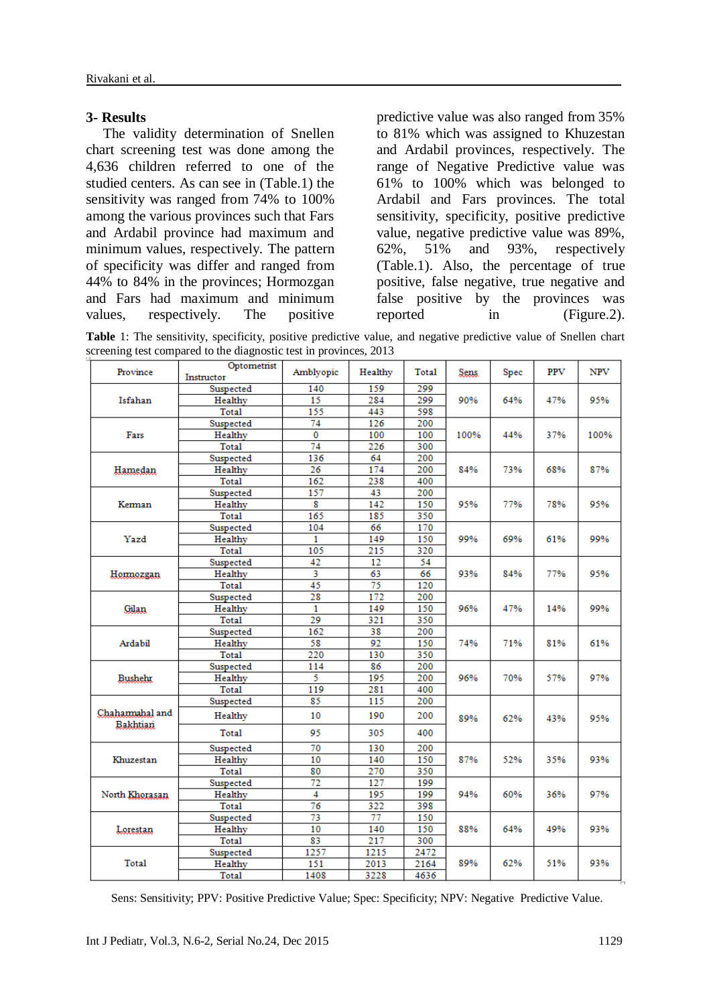#### **3- Results**

The validity determination of Snellen chart screening test was done among the 4,636 children referred to one of the studied centers. As can see in (Table.1) the sensitivity was ranged from 74% to 100% among the various provinces such that Fars and Ardabil province had maximum and minimum values, respectively. The pattern of specificity was differ and ranged from 44% to 84% in the provinces; Hormozgan and Fars had maximum and minimum values, respectively. The positive

predictive value was also ranged from 35% to 81% which was assigned to Khuzestan and Ardabil provinces, respectively. The range of Negative Predictive value was 61% to 100% which was belonged to Ardabil and Fars provinces. The total sensitivity, specificity, positive predictive value, negative predictive value was 89%, 62%, 51% and 93%, respectively (Table.1). Also, the percentage of true positive, false negative, true negative and false positive by the provinces was reported in (Figure.2).

**Table** 1: The sensitivity, specificity, positive predictive value, and negative predictive value of Snellen chart screening test compared to the diagnostic test in provinces, 2013

| Instructor<br>299<br>Suspected<br>140<br>159<br>15<br>284<br>299<br>Healthy<br>90%<br>64%<br>47%<br>95%<br>Isfahan<br>155<br>443<br>598<br>Total<br>126<br>200<br>74<br>Suspected<br>$\overline{0}$<br>Healthy<br>100<br>100<br>Fars<br>100%<br>44%<br>37%<br>100%<br>74<br>226<br>300<br>Total<br>136<br>64<br>200<br>Suspected<br>26<br>174<br>200<br>87%<br>Hamedan<br>Healthy<br>84%<br>73%<br>68%<br>162<br>238<br>400<br>Total<br>157<br>43<br>200<br>Suspected<br>142<br>Healthy<br>8<br>150<br>95%<br>77%<br>78%<br>95%<br>Kerman<br>350<br>Total<br>165<br>185<br>104<br>66<br>170<br>Suspected<br>Healthy<br>149<br>150<br>99%<br>99%<br>Yazd<br>1<br>69%<br>61%<br>Total<br>105<br>215<br>320<br>42<br>12<br>54<br>Suspected<br>3<br>Healthy<br>63<br>66<br>93%<br>84%<br>77%<br>95%<br>Hormozgan<br>45<br>Total<br>75<br>120<br>28<br>172<br>200<br>Suspected<br>Healthy<br>1<br>149<br>150<br>96%<br>47%<br>99%<br>Gilan<br>14%<br>29<br>321<br>350<br>Total<br>162<br>38<br>200<br>Suspected<br>92<br>58<br>Healthy<br>150<br>74%<br>61%<br>Ardabil<br>71%<br>81%<br>350<br>Total<br>220<br>130<br>86<br>200<br>Suspected<br>114<br>5<br>195<br>200<br>Healthy<br>96%<br>70%<br>57%<br>97%<br><b>Bushehr</b><br>Total<br>119<br>281<br>400<br>85<br>115<br>200<br>Suspected<br>Chahamahal and<br>10<br>190<br>200<br>Healthy<br>89%<br>62%<br>95%<br>43%<br>Bakhtiari<br>Total<br>95<br>305<br>400<br>70<br>130<br>200<br>Suspected<br>10<br>140<br>150<br>87%<br>Khuzestan<br>Healthy<br>52%<br>35%<br>93%<br>80<br>270<br>350<br>Total<br>72<br>127<br>199<br>Suspected<br>4<br>199<br>97%<br>North Khorasan<br>Healthy<br>195<br>94%<br>60%<br>36%<br>$\overline{76}$<br>322<br>398<br>Total<br>73<br>77<br>150<br>Suspected<br>10<br>150<br>Healthy<br>140<br>88%<br>64%<br>49%<br>93%<br>Lorestan<br>83<br>217<br>300<br>Total<br>1257<br>1215<br>2472<br>Suspected<br>89%<br>93%<br>Total<br>2013<br>2164<br>62%<br>51%<br>Healthy<br>151<br>3228<br>4636<br>1408<br>Total | Province | Optometrist | Amblyopic | Healthy | Total | Sens | Spec | <b>PPV</b> | NPV |
|------------------------------------------------------------------------------------------------------------------------------------------------------------------------------------------------------------------------------------------------------------------------------------------------------------------------------------------------------------------------------------------------------------------------------------------------------------------------------------------------------------------------------------------------------------------------------------------------------------------------------------------------------------------------------------------------------------------------------------------------------------------------------------------------------------------------------------------------------------------------------------------------------------------------------------------------------------------------------------------------------------------------------------------------------------------------------------------------------------------------------------------------------------------------------------------------------------------------------------------------------------------------------------------------------------------------------------------------------------------------------------------------------------------------------------------------------------------------------------------------------------------------------------------------------------------------------------------------------------------------------------------------------------------------------------------------------------------------------------------------------------------------------------------------------------------------------------------------------------------------------------------------------------------------------------------------------------------------------------------------|----------|-------------|-----------|---------|-------|------|------|------------|-----|
|                                                                                                                                                                                                                                                                                                                                                                                                                                                                                                                                                                                                                                                                                                                                                                                                                                                                                                                                                                                                                                                                                                                                                                                                                                                                                                                                                                                                                                                                                                                                                                                                                                                                                                                                                                                                                                                                                                                                                                                                |          |             |           |         |       |      |      |            |     |
|                                                                                                                                                                                                                                                                                                                                                                                                                                                                                                                                                                                                                                                                                                                                                                                                                                                                                                                                                                                                                                                                                                                                                                                                                                                                                                                                                                                                                                                                                                                                                                                                                                                                                                                                                                                                                                                                                                                                                                                                |          |             |           |         |       |      |      |            |     |
|                                                                                                                                                                                                                                                                                                                                                                                                                                                                                                                                                                                                                                                                                                                                                                                                                                                                                                                                                                                                                                                                                                                                                                                                                                                                                                                                                                                                                                                                                                                                                                                                                                                                                                                                                                                                                                                                                                                                                                                                |          |             |           |         |       |      |      |            |     |
|                                                                                                                                                                                                                                                                                                                                                                                                                                                                                                                                                                                                                                                                                                                                                                                                                                                                                                                                                                                                                                                                                                                                                                                                                                                                                                                                                                                                                                                                                                                                                                                                                                                                                                                                                                                                                                                                                                                                                                                                |          |             |           |         |       |      |      |            |     |
|                                                                                                                                                                                                                                                                                                                                                                                                                                                                                                                                                                                                                                                                                                                                                                                                                                                                                                                                                                                                                                                                                                                                                                                                                                                                                                                                                                                                                                                                                                                                                                                                                                                                                                                                                                                                                                                                                                                                                                                                |          |             |           |         |       |      |      |            |     |
|                                                                                                                                                                                                                                                                                                                                                                                                                                                                                                                                                                                                                                                                                                                                                                                                                                                                                                                                                                                                                                                                                                                                                                                                                                                                                                                                                                                                                                                                                                                                                                                                                                                                                                                                                                                                                                                                                                                                                                                                |          |             |           |         |       |      |      |            |     |
|                                                                                                                                                                                                                                                                                                                                                                                                                                                                                                                                                                                                                                                                                                                                                                                                                                                                                                                                                                                                                                                                                                                                                                                                                                                                                                                                                                                                                                                                                                                                                                                                                                                                                                                                                                                                                                                                                                                                                                                                |          |             |           |         |       |      |      |            |     |
|                                                                                                                                                                                                                                                                                                                                                                                                                                                                                                                                                                                                                                                                                                                                                                                                                                                                                                                                                                                                                                                                                                                                                                                                                                                                                                                                                                                                                                                                                                                                                                                                                                                                                                                                                                                                                                                                                                                                                                                                |          |             |           |         |       |      |      |            |     |
|                                                                                                                                                                                                                                                                                                                                                                                                                                                                                                                                                                                                                                                                                                                                                                                                                                                                                                                                                                                                                                                                                                                                                                                                                                                                                                                                                                                                                                                                                                                                                                                                                                                                                                                                                                                                                                                                                                                                                                                                |          |             |           |         |       |      |      |            |     |
|                                                                                                                                                                                                                                                                                                                                                                                                                                                                                                                                                                                                                                                                                                                                                                                                                                                                                                                                                                                                                                                                                                                                                                                                                                                                                                                                                                                                                                                                                                                                                                                                                                                                                                                                                                                                                                                                                                                                                                                                |          |             |           |         |       |      |      |            |     |
|                                                                                                                                                                                                                                                                                                                                                                                                                                                                                                                                                                                                                                                                                                                                                                                                                                                                                                                                                                                                                                                                                                                                                                                                                                                                                                                                                                                                                                                                                                                                                                                                                                                                                                                                                                                                                                                                                                                                                                                                |          |             |           |         |       |      |      |            |     |
|                                                                                                                                                                                                                                                                                                                                                                                                                                                                                                                                                                                                                                                                                                                                                                                                                                                                                                                                                                                                                                                                                                                                                                                                                                                                                                                                                                                                                                                                                                                                                                                                                                                                                                                                                                                                                                                                                                                                                                                                |          |             |           |         |       |      |      |            |     |
|                                                                                                                                                                                                                                                                                                                                                                                                                                                                                                                                                                                                                                                                                                                                                                                                                                                                                                                                                                                                                                                                                                                                                                                                                                                                                                                                                                                                                                                                                                                                                                                                                                                                                                                                                                                                                                                                                                                                                                                                |          |             |           |         |       |      |      |            |     |
|                                                                                                                                                                                                                                                                                                                                                                                                                                                                                                                                                                                                                                                                                                                                                                                                                                                                                                                                                                                                                                                                                                                                                                                                                                                                                                                                                                                                                                                                                                                                                                                                                                                                                                                                                                                                                                                                                                                                                                                                |          |             |           |         |       |      |      |            |     |
|                                                                                                                                                                                                                                                                                                                                                                                                                                                                                                                                                                                                                                                                                                                                                                                                                                                                                                                                                                                                                                                                                                                                                                                                                                                                                                                                                                                                                                                                                                                                                                                                                                                                                                                                                                                                                                                                                                                                                                                                |          |             |           |         |       |      |      |            |     |
|                                                                                                                                                                                                                                                                                                                                                                                                                                                                                                                                                                                                                                                                                                                                                                                                                                                                                                                                                                                                                                                                                                                                                                                                                                                                                                                                                                                                                                                                                                                                                                                                                                                                                                                                                                                                                                                                                                                                                                                                |          |             |           |         |       |      |      |            |     |
|                                                                                                                                                                                                                                                                                                                                                                                                                                                                                                                                                                                                                                                                                                                                                                                                                                                                                                                                                                                                                                                                                                                                                                                                                                                                                                                                                                                                                                                                                                                                                                                                                                                                                                                                                                                                                                                                                                                                                                                                |          |             |           |         |       |      |      |            |     |
|                                                                                                                                                                                                                                                                                                                                                                                                                                                                                                                                                                                                                                                                                                                                                                                                                                                                                                                                                                                                                                                                                                                                                                                                                                                                                                                                                                                                                                                                                                                                                                                                                                                                                                                                                                                                                                                                                                                                                                                                |          |             |           |         |       |      |      |            |     |
|                                                                                                                                                                                                                                                                                                                                                                                                                                                                                                                                                                                                                                                                                                                                                                                                                                                                                                                                                                                                                                                                                                                                                                                                                                                                                                                                                                                                                                                                                                                                                                                                                                                                                                                                                                                                                                                                                                                                                                                                |          |             |           |         |       |      |      |            |     |
|                                                                                                                                                                                                                                                                                                                                                                                                                                                                                                                                                                                                                                                                                                                                                                                                                                                                                                                                                                                                                                                                                                                                                                                                                                                                                                                                                                                                                                                                                                                                                                                                                                                                                                                                                                                                                                                                                                                                                                                                |          |             |           |         |       |      |      |            |     |
|                                                                                                                                                                                                                                                                                                                                                                                                                                                                                                                                                                                                                                                                                                                                                                                                                                                                                                                                                                                                                                                                                                                                                                                                                                                                                                                                                                                                                                                                                                                                                                                                                                                                                                                                                                                                                                                                                                                                                                                                |          |             |           |         |       |      |      |            |     |
|                                                                                                                                                                                                                                                                                                                                                                                                                                                                                                                                                                                                                                                                                                                                                                                                                                                                                                                                                                                                                                                                                                                                                                                                                                                                                                                                                                                                                                                                                                                                                                                                                                                                                                                                                                                                                                                                                                                                                                                                |          |             |           |         |       |      |      |            |     |
|                                                                                                                                                                                                                                                                                                                                                                                                                                                                                                                                                                                                                                                                                                                                                                                                                                                                                                                                                                                                                                                                                                                                                                                                                                                                                                                                                                                                                                                                                                                                                                                                                                                                                                                                                                                                                                                                                                                                                                                                |          |             |           |         |       |      |      |            |     |
|                                                                                                                                                                                                                                                                                                                                                                                                                                                                                                                                                                                                                                                                                                                                                                                                                                                                                                                                                                                                                                                                                                                                                                                                                                                                                                                                                                                                                                                                                                                                                                                                                                                                                                                                                                                                                                                                                                                                                                                                |          |             |           |         |       |      |      |            |     |
|                                                                                                                                                                                                                                                                                                                                                                                                                                                                                                                                                                                                                                                                                                                                                                                                                                                                                                                                                                                                                                                                                                                                                                                                                                                                                                                                                                                                                                                                                                                                                                                                                                                                                                                                                                                                                                                                                                                                                                                                |          |             |           |         |       |      |      |            |     |
|                                                                                                                                                                                                                                                                                                                                                                                                                                                                                                                                                                                                                                                                                                                                                                                                                                                                                                                                                                                                                                                                                                                                                                                                                                                                                                                                                                                                                                                                                                                                                                                                                                                                                                                                                                                                                                                                                                                                                                                                |          |             |           |         |       |      |      |            |     |
|                                                                                                                                                                                                                                                                                                                                                                                                                                                                                                                                                                                                                                                                                                                                                                                                                                                                                                                                                                                                                                                                                                                                                                                                                                                                                                                                                                                                                                                                                                                                                                                                                                                                                                                                                                                                                                                                                                                                                                                                |          |             |           |         |       |      |      |            |     |
|                                                                                                                                                                                                                                                                                                                                                                                                                                                                                                                                                                                                                                                                                                                                                                                                                                                                                                                                                                                                                                                                                                                                                                                                                                                                                                                                                                                                                                                                                                                                                                                                                                                                                                                                                                                                                                                                                                                                                                                                |          |             |           |         |       |      |      |            |     |
|                                                                                                                                                                                                                                                                                                                                                                                                                                                                                                                                                                                                                                                                                                                                                                                                                                                                                                                                                                                                                                                                                                                                                                                                                                                                                                                                                                                                                                                                                                                                                                                                                                                                                                                                                                                                                                                                                                                                                                                                |          |             |           |         |       |      |      |            |     |
|                                                                                                                                                                                                                                                                                                                                                                                                                                                                                                                                                                                                                                                                                                                                                                                                                                                                                                                                                                                                                                                                                                                                                                                                                                                                                                                                                                                                                                                                                                                                                                                                                                                                                                                                                                                                                                                                                                                                                                                                |          |             |           |         |       |      |      |            |     |
|                                                                                                                                                                                                                                                                                                                                                                                                                                                                                                                                                                                                                                                                                                                                                                                                                                                                                                                                                                                                                                                                                                                                                                                                                                                                                                                                                                                                                                                                                                                                                                                                                                                                                                                                                                                                                                                                                                                                                                                                |          |             |           |         |       |      |      |            |     |
|                                                                                                                                                                                                                                                                                                                                                                                                                                                                                                                                                                                                                                                                                                                                                                                                                                                                                                                                                                                                                                                                                                                                                                                                                                                                                                                                                                                                                                                                                                                                                                                                                                                                                                                                                                                                                                                                                                                                                                                                |          |             |           |         |       |      |      |            |     |
|                                                                                                                                                                                                                                                                                                                                                                                                                                                                                                                                                                                                                                                                                                                                                                                                                                                                                                                                                                                                                                                                                                                                                                                                                                                                                                                                                                                                                                                                                                                                                                                                                                                                                                                                                                                                                                                                                                                                                                                                |          |             |           |         |       |      |      |            |     |
|                                                                                                                                                                                                                                                                                                                                                                                                                                                                                                                                                                                                                                                                                                                                                                                                                                                                                                                                                                                                                                                                                                                                                                                                                                                                                                                                                                                                                                                                                                                                                                                                                                                                                                                                                                                                                                                                                                                                                                                                |          |             |           |         |       |      |      |            |     |
|                                                                                                                                                                                                                                                                                                                                                                                                                                                                                                                                                                                                                                                                                                                                                                                                                                                                                                                                                                                                                                                                                                                                                                                                                                                                                                                                                                                                                                                                                                                                                                                                                                                                                                                                                                                                                                                                                                                                                                                                |          |             |           |         |       |      |      |            |     |
|                                                                                                                                                                                                                                                                                                                                                                                                                                                                                                                                                                                                                                                                                                                                                                                                                                                                                                                                                                                                                                                                                                                                                                                                                                                                                                                                                                                                                                                                                                                                                                                                                                                                                                                                                                                                                                                                                                                                                                                                |          |             |           |         |       |      |      |            |     |
|                                                                                                                                                                                                                                                                                                                                                                                                                                                                                                                                                                                                                                                                                                                                                                                                                                                                                                                                                                                                                                                                                                                                                                                                                                                                                                                                                                                                                                                                                                                                                                                                                                                                                                                                                                                                                                                                                                                                                                                                |          |             |           |         |       |      |      |            |     |
|                                                                                                                                                                                                                                                                                                                                                                                                                                                                                                                                                                                                                                                                                                                                                                                                                                                                                                                                                                                                                                                                                                                                                                                                                                                                                                                                                                                                                                                                                                                                                                                                                                                                                                                                                                                                                                                                                                                                                                                                |          |             |           |         |       |      |      |            |     |
|                                                                                                                                                                                                                                                                                                                                                                                                                                                                                                                                                                                                                                                                                                                                                                                                                                                                                                                                                                                                                                                                                                                                                                                                                                                                                                                                                                                                                                                                                                                                                                                                                                                                                                                                                                                                                                                                                                                                                                                                |          |             |           |         |       |      |      |            |     |
|                                                                                                                                                                                                                                                                                                                                                                                                                                                                                                                                                                                                                                                                                                                                                                                                                                                                                                                                                                                                                                                                                                                                                                                                                                                                                                                                                                                                                                                                                                                                                                                                                                                                                                                                                                                                                                                                                                                                                                                                |          |             |           |         |       |      |      |            |     |
|                                                                                                                                                                                                                                                                                                                                                                                                                                                                                                                                                                                                                                                                                                                                                                                                                                                                                                                                                                                                                                                                                                                                                                                                                                                                                                                                                                                                                                                                                                                                                                                                                                                                                                                                                                                                                                                                                                                                                                                                |          |             |           |         |       |      |      |            |     |
|                                                                                                                                                                                                                                                                                                                                                                                                                                                                                                                                                                                                                                                                                                                                                                                                                                                                                                                                                                                                                                                                                                                                                                                                                                                                                                                                                                                                                                                                                                                                                                                                                                                                                                                                                                                                                                                                                                                                                                                                |          |             |           |         |       |      |      |            |     |
|                                                                                                                                                                                                                                                                                                                                                                                                                                                                                                                                                                                                                                                                                                                                                                                                                                                                                                                                                                                                                                                                                                                                                                                                                                                                                                                                                                                                                                                                                                                                                                                                                                                                                                                                                                                                                                                                                                                                                                                                |          |             |           |         |       |      |      |            |     |

Sens: Sensitivity; PPV: Positive Predictive Value; Spec: Specificity; NPV: Negative Predictive Value.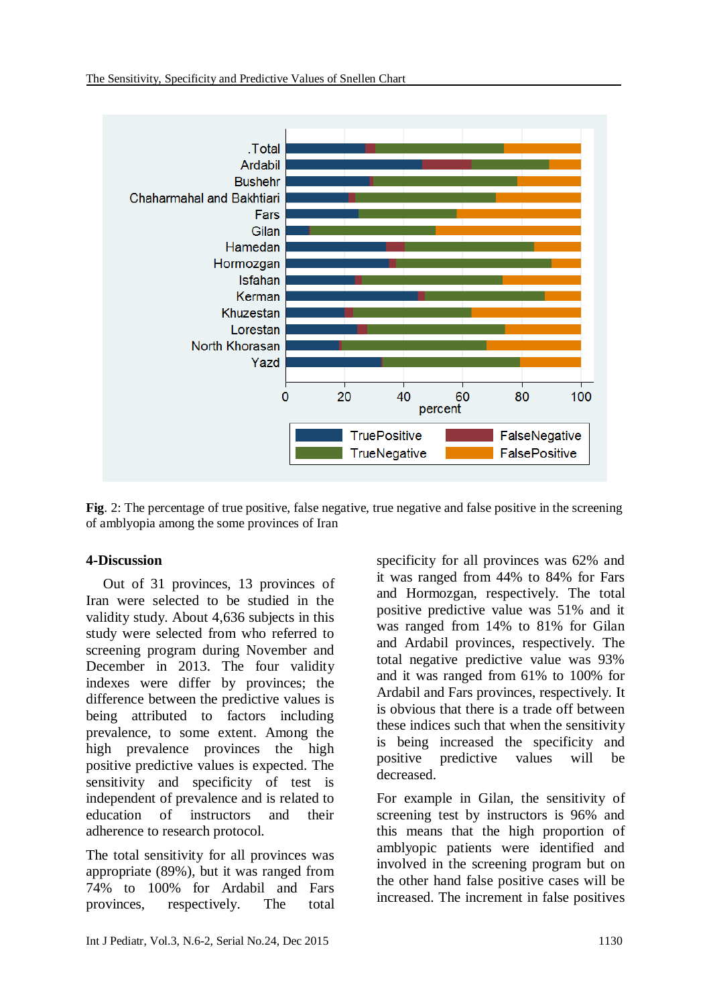

**Fig**. 2: The percentage of true positive, false negative, true negative and false positive in the screening of amblyopia among the some provinces of Iran

#### **4-Discussion**

Out of 31 provinces, 13 provinces of Iran were selected to be studied in the validity study. About 4,636 subjects in this study were selected from who referred to screening program during November and December in 2013. The four validity indexes were differ by provinces; the difference between the predictive values is being attributed to factors including prevalence, to some extent. Among the high prevalence provinces the high positive predictive values is expected. The sensitivity and specificity of test is independent of prevalence and is related to education of instructors and their adherence to research protocol.

The total sensitivity for all provinces was appropriate (89%), but it was ranged from 74% to 100% for Ardabil and Fars provinces, respectively. The total specificity for all provinces was 62% and it was ranged from 44% to 84% for Fars and Hormozgan, respectively. The total positive predictive value was 51% and it was ranged from 14% to 81% for Gilan and Ardabil provinces, respectively. The total negative predictive value was 93% and it was ranged from 61% to 100% for Ardabil and Fars provinces, respectively. It is obvious that there is a trade off between these indices such that when the sensitivity is being increased the specificity and positive predictive values will be decreased.

For example in Gilan, the sensitivity of screening test by instructors is 96% and this means that the high proportion of amblyopic patients were identified and involved in the screening program but on the other hand false positive cases will be increased. The increment in false positives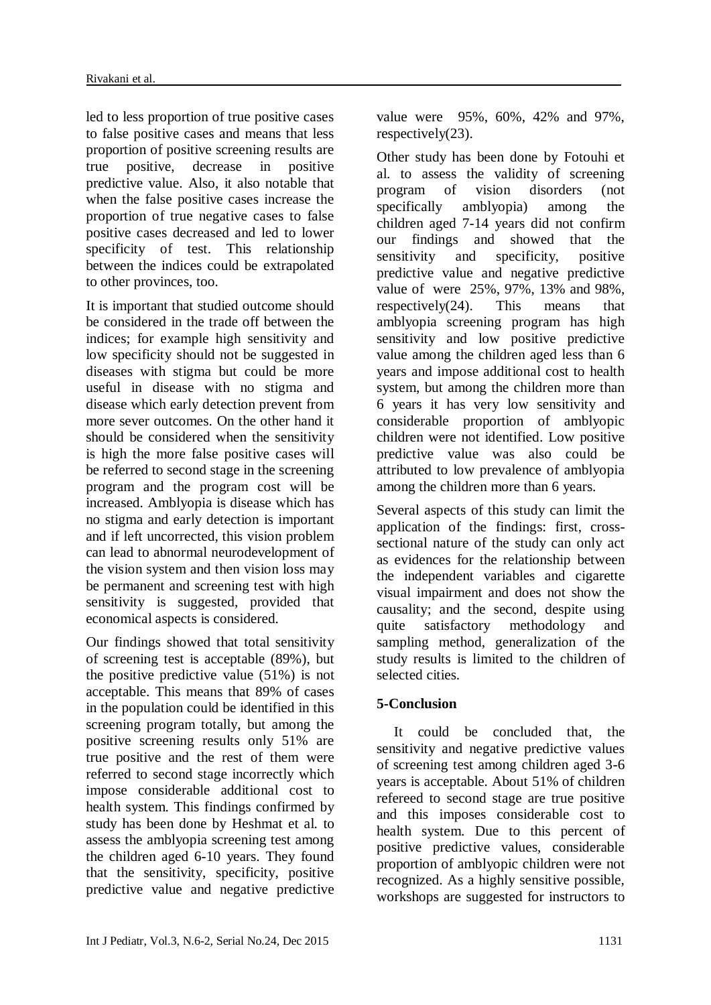led to less proportion of true positive cases to false positive cases and means that less proportion of positive screening results are true positive, decrease in positive predictive value. Also, it also notable that when the false positive cases increase the proportion of true negative cases to false positive cases decreased and led to lower specificity of test. This relationship between the indices could be extrapolated to other provinces, too.

It is important that studied outcome should be considered in the trade off between the indices; for example high sensitivity and low specificity should not be suggested in diseases with stigma but could be more useful in disease with no stigma and disease which early detection prevent from more sever outcomes. On the other hand it should be considered when the sensitivity is high the more false positive cases will be referred to second stage in the screening program and the program cost will be increased. Amblyopia is disease which has no stigma and early detection is important and if left uncorrected, this vision problem can lead to abnormal neurodevelopment of the vision system and then vision loss may be permanent and screening test with high sensitivity is suggested, provided that economical aspects is considered.

Our findings showed that total sensitivity of screening test is acceptable (89%), but the positive predictive value (51%) is not acceptable. This means that 89% of cases in the population could be identified in this screening program totally, but among the positive screening results only 51% are true positive and the rest of them were referred to second stage incorrectly which impose considerable additional cost to health system. This findings confirmed by study has been done by Heshmat et al. to assess the amblyopia screening test among the children aged 6-10 years. They found that the sensitivity, specificity, positive predictive value and negative predictive value were 95%, 60%, 42% and 97%, respectively(23).

Other study has been done by Fotouhi et al. to assess the validity of screening program of vision disorders (not specifically amblyopia) among the children aged 7-14 years did not confirm our findings and showed that the sensitivity and specificity, positive predictive value and negative predictive value of were 25%, 97%, 13% and 98%, respectively(24). This means that amblyopia screening program has high sensitivity and low positive predictive value among the children aged less than 6 years and impose additional cost to health system, but among the children more than 6 years it has very low sensitivity and considerable proportion of amblyopic children were not identified. Low positive predictive value was also could be attributed to low prevalence of amblyopia among the children more than 6 years.

Several aspects of this study can limit the application of the findings: first, crosssectional nature of the study can only act as evidences for the relationship between the independent variables and cigarette visual impairment and does not show the causality; and the second, despite using quite satisfactory methodology and sampling method, generalization of the study results is limited to the children of selected cities.

# **5-Conclusion**

It could be concluded that, the sensitivity and negative predictive values of screening test among children aged 3-6 years is acceptable. About 51% of children refereed to second stage are true positive and this imposes considerable cost to health system. Due to this percent of positive predictive values, considerable proportion of amblyopic children were not recognized. As a highly sensitive possible, workshops are suggested for instructors to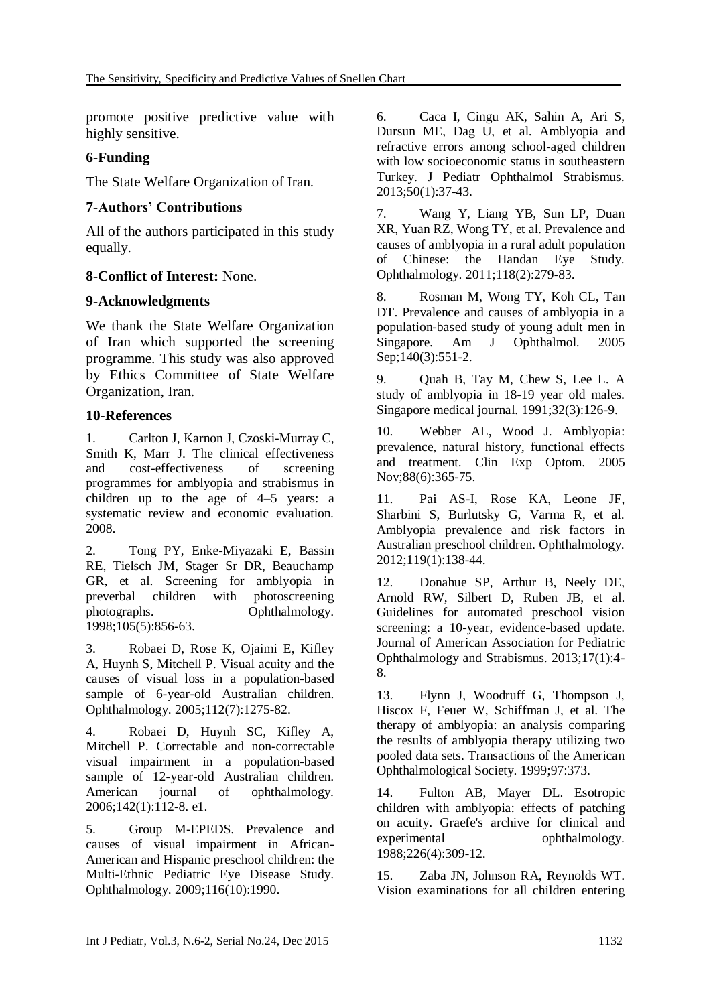promote positive predictive value with highly sensitive.

### **6-Funding**

The State Welfare Organization of Iran.

### **7-Authors' Contributions**

All of the authors participated in this study equally.

### **8-Conflict of Interest:** None.

### **9-Acknowledgments**

We thank the State Welfare Organization of Iran which supported the screening programme. This study was also approved by Ethics Committee of State Welfare Organization, Iran.

### **10-References**

1. Carlton J, Karnon J, Czoski-Murray C, Smith K, Marr J. The clinical effectiveness<br>and cost-effectiveness of screening and cost-effectiveness of screening programmes for amblyopia and strabismus in children up to the age of 4–5 years: a systematic review and economic evaluation. 2008.

2. Tong PY, Enke-Miyazaki E, Bassin RE, Tielsch JM, Stager Sr DR, Beauchamp GR, et al. Screening for amblyopia in preverbal children with photoscreening preverbal children with photographs. Ophthalmology. 1998;105(5):856-63.

3. Robaei D, Rose K, Ojaimi E, Kifley A, Huynh S, Mitchell P. Visual acuity and the causes of visual loss in a population-based sample of 6-year-old Australian children. Ophthalmology. 2005;112(7):1275-82.

4. Robaei D, Huynh SC, Kifley A, Mitchell P. Correctable and non-correctable visual impairment in a population-based sample of 12-year-old Australian children. American journal of ophthalmology. 2006;142(1):112-8. e1.

5. Group M-EPEDS. Prevalence and causes of visual impairment in African-American and Hispanic preschool children: the Multi-Ethnic Pediatric Eye Disease Study. Ophthalmology. 2009;116(10):1990.

6. Caca I, Cingu AK, Sahin A, Ari S, Dursun ME, Dag U, et al. Amblyopia and refractive errors among school-aged children with low socioeconomic status in southeastern Turkey. J Pediatr Ophthalmol Strabismus. 2013;50(1):37-43.

7. Wang Y, Liang YB, Sun LP, Duan XR, Yuan RZ, Wong TY, et al. Prevalence and causes of amblyopia in a rural adult population of Chinese: the Handan Eye Study. Ophthalmology. 2011;118(2):279-83.

8. Rosman M, Wong TY, Koh CL, Tan DT. Prevalence and causes of amblyopia in a population-based study of young adult men in Singapore. Am J Ophthalmol. 2005 Sep;140(3):551-2.

9. Quah B, Tay M, Chew S, Lee L. A study of amblyopia in 18-19 year old males. Singapore medical journal. 1991;32(3):126-9.

10. Webber AL, Wood J. Amblyopia: prevalence, natural history, functional effects and treatment. Clin Exp Optom. 2005 Nov:88(6):365-75.

11. Pai AS-I, Rose KA, Leone JF, Sharbini S, Burlutsky G, Varma R, et al. Amblyopia prevalence and risk factors in Australian preschool children. Ophthalmology. 2012;119(1):138-44.

12. Donahue SP, Arthur B, Neely DE, Arnold RW, Silbert D, Ruben JB, et al. Guidelines for automated preschool vision screening: a 10-year, evidence-based update. Journal of American Association for Pediatric Ophthalmology and Strabismus. 2013;17(1):4- 8.

13. Flynn J, Woodruff G, Thompson J, Hiscox F, Feuer W, Schiffman J, et al. The therapy of amblyopia: an analysis comparing the results of amblyopia therapy utilizing two pooled data sets. Transactions of the American Ophthalmological Society. 1999;97:373.

14. Fulton AB, Mayer DL. Esotropic children with amblyopia: effects of patching on acuity. Graefe's archive for clinical and experimental ophthalmology. 1988;226(4):309-12.

15. Zaba JN, Johnson RA, Reynolds WT. Vision examinations for all children entering